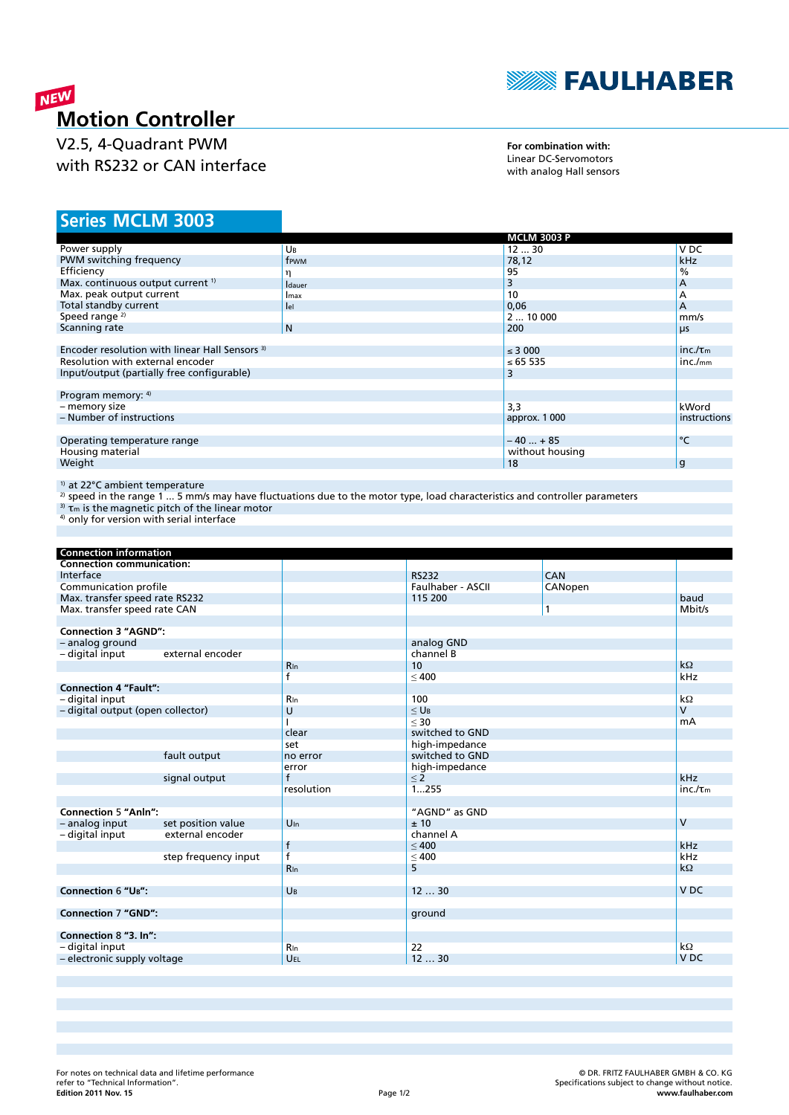

# **MEW**<br>Motion Controller

V2.5, 4-Quadrant PWM with RS232 or CAN interface

**For combination with:** Linear DC-Servomotors with analog Hall sensors

## **MCLM 3003 Series**

|                                                           | <b>MCLM 3003 P</b> |                               |
|-----------------------------------------------------------|--------------------|-------------------------------|
| UB                                                        | 1230               | V DC                          |
| frwm                                                      | 78,12              | <b>kHz</b>                    |
|                                                           | 95                 | $\%$                          |
| <b>I</b> dauer                                            | 3                  | А                             |
| Imax                                                      | 10                 | А                             |
| lel                                                       | 0,06               | A                             |
|                                                           | 210000             | mm/s                          |
| N <sub>1</sub>                                            | 200                | μs                            |
|                                                           |                    |                               |
| Encoder resolution with linear Hall Sensors <sup>3)</sup> |                    |                               |
| Resolution with external encoder                          |                    | inc./ <sub>mm</sub>           |
| Input/output (partially free configurable)                |                    |                               |
|                                                           |                    |                               |
| Program memory: 4)                                        |                    |                               |
|                                                           | 3,3                | kWord                         |
|                                                           | approx. 1 000      | instructions                  |
|                                                           |                    |                               |
|                                                           | $-40+85$           | °C                            |
|                                                           | without housing    |                               |
|                                                           | 18                 | g                             |
|                                                           |                    | $\leq$ 3 000<br>≤ 65 535<br>3 |

<sup>1)</sup> at 22°C ambient temperature

<sup>2)</sup> speed in the range 1 ... 5 mm/s may have fluctuations due to the motor type, load characteristics and controller parameters

 $3$ <sup>3</sup>)  $\tau$ m is the magnetic pitch of the linear motor

<sup>4)</sup> only for version with serial interface

| <b>Connection information</b>     |                      |                 |                       |            |                 |
|-----------------------------------|----------------------|-----------------|-----------------------|------------|-----------------|
| <b>Connection communication:</b>  |                      |                 |                       |            |                 |
| Interface                         |                      |                 | <b>RS232</b>          | <b>CAN</b> |                 |
| Communication profile             |                      |                 | Faulhaber - ASCII     | CANopen    |                 |
| Max. transfer speed rate RS232    |                      |                 | 115 200               |            | baud            |
| Max. transfer speed rate CAN      |                      |                 |                       | 1          | Mbit/s          |
|                                   |                      |                 |                       |            |                 |
| <b>Connection 3 "AGND":</b>       |                      |                 |                       |            |                 |
| - analog ground                   |                      |                 | analog GND            |            |                 |
| - digital input                   | external encoder     |                 | channel B             |            |                 |
|                                   |                      | <b>R</b> In     | 10                    |            | $k\Omega$       |
|                                   |                      | f               | < 400                 |            | kHz             |
| <b>Connection 4 "Fault":</b>      |                      |                 |                       |            |                 |
| - digital input                   |                      | Rin             | 100                   |            | $k\Omega$       |
| - digital output (open collector) |                      | U               | $\leq$ U <sub>B</sub> |            | $\mathsf{V}$    |
|                                   |                      |                 | $30$                  |            | mA              |
|                                   |                      | clear           | switched to GND       |            |                 |
|                                   |                      | set             | high-impedance        |            |                 |
|                                   | fault output         | no error        | switched to GND       |            |                 |
|                                   |                      | error           | high-impedance        |            |                 |
|                                   | signal output        | $\mathsf{f}$    | $\leq$ 2              |            | kHz             |
|                                   |                      | resolution      | 1255                  |            | $inc./\tau_m$   |
|                                   |                      |                 |                       |            |                 |
| <b>Connection 5 "Anln":</b>       |                      |                 | "AGND" as GND         |            |                 |
| - analog input                    | set position value   | $U_{\text{In}}$ | ± 10                  |            | $\mathsf{V}$    |
| - digital input                   | external encoder     |                 | channel A             |            |                 |
|                                   |                      | $\mathsf{f}$    | < 400                 |            | kHz             |
|                                   | step frequency input | $\overline{f}$  | $\leq 400$            |            | kHz             |
|                                   |                      | <b>R</b> In     | 5                     |            | $k\Omega$       |
|                                   |                      |                 |                       |            |                 |
| <b>Connection 6 "UB":</b>         |                      | UB              | 1230                  |            | V <sub>DC</sub> |
|                                   |                      |                 |                       |            |                 |
| <b>Connection 7 "GND":</b>        |                      |                 | ground                |            |                 |
|                                   |                      |                 |                       |            |                 |
| Connection 8 "3. In":             |                      |                 |                       |            |                 |
| - digital input                   |                      | <b>R</b> In     | 22                    |            | $k\Omega$       |
| - electronic supply voltage       |                      | UEL             | 1230                  |            | V <sub>DC</sub> |
|                                   |                      |                 |                       |            |                 |